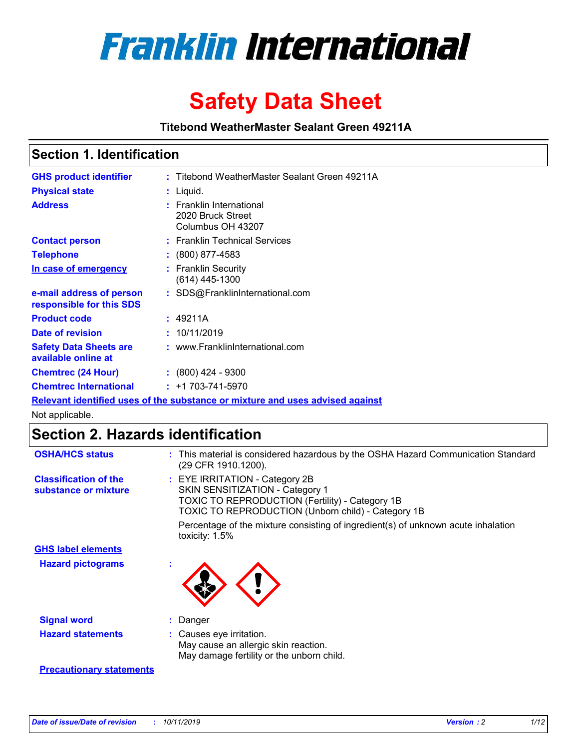

# **Safety Data Sheet**

**Titebond WeatherMaster Sealant Green 49211A**

### **Section 1. Identification**

| <b>GHS product identifier</b>                        | : Titebond WeatherMaster Sealant Green 49211A                                 |  |
|------------------------------------------------------|-------------------------------------------------------------------------------|--|
| <b>Physical state</b>                                | : Liquid.                                                                     |  |
| <b>Address</b>                                       | : Franklin International<br>2020 Bruck Street<br>Columbus OH 43207            |  |
| <b>Contact person</b>                                | : Franklin Technical Services                                                 |  |
| <b>Telephone</b>                                     | $\colon$ (800) 877-4583                                                       |  |
| In case of emergency                                 | : Franklin Security<br>$(614)$ 445-1300                                       |  |
| e-mail address of person<br>responsible for this SDS | : SDS@FranklinInternational.com                                               |  |
| <b>Product code</b>                                  | : 49211A                                                                      |  |
| Date of revision                                     | : 10/11/2019                                                                  |  |
| <b>Safety Data Sheets are</b><br>available online at | : www.FranklinInternational.com                                               |  |
| <b>Chemtrec (24 Hour)</b>                            | $\div$ (800) 424 - 9300                                                       |  |
| <b>Chemtrec International</b>                        | $: +1703 - 741 - 5970$                                                        |  |
|                                                      | Relevant identified uses of the substance or mixture and uses advised against |  |

Not applicable.

## **Section 2. Hazards identification**

| <b>OSHA/HCS status</b>                               | : This material is considered hazardous by the OSHA Hazard Communication Standard<br>(29 CFR 1910.1200).                                                                                 |
|------------------------------------------------------|------------------------------------------------------------------------------------------------------------------------------------------------------------------------------------------|
| <b>Classification of the</b><br>substance or mixture | : EYE IRRITATION - Category 2B<br>SKIN SENSITIZATION - Category 1<br><b>TOXIC TO REPRODUCTION (Fertility) - Category 1B</b><br><b>TOXIC TO REPRODUCTION (Unborn child) - Category 1B</b> |
|                                                      | Percentage of the mixture consisting of ingredient(s) of unknown acute inhalation<br>toxicity: $1.5\%$                                                                                   |
| <b>GHS label elements</b>                            |                                                                                                                                                                                          |
| <b>Hazard pictograms</b>                             |                                                                                                                                                                                          |
| <b>Signal word</b>                                   | : Danger                                                                                                                                                                                 |
| <b>Hazard statements</b>                             | : Causes eye irritation.<br>May cause an allergic skin reaction.<br>May damage fertility or the unborn child.                                                                            |
| <b>Precautionary statements</b>                      |                                                                                                                                                                                          |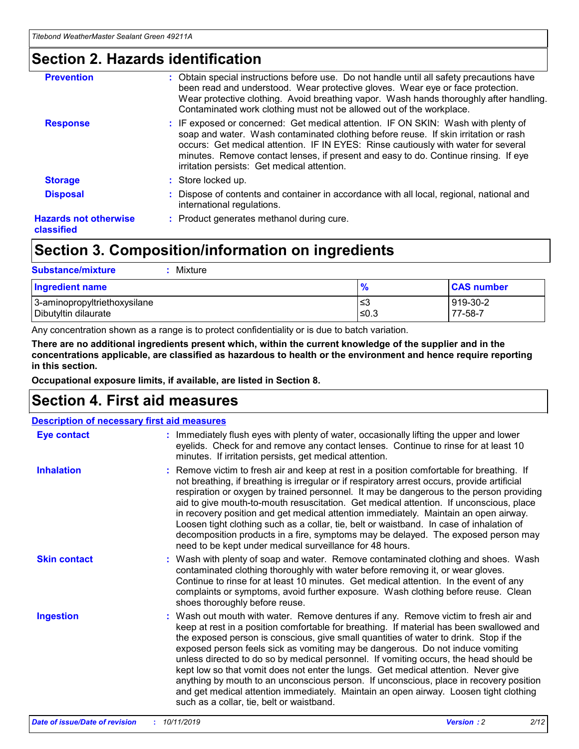### **Section 2. Hazards identification**

| <b>Prevention</b>                          | : Obtain special instructions before use. Do not handle until all safety precautions have<br>been read and understood. Wear protective gloves. Wear eye or face protection.<br>Wear protective clothing. Avoid breathing vapor. Wash hands thoroughly after handling.<br>Contaminated work clothing must not be allowed out of the workplace.                                                        |
|--------------------------------------------|------------------------------------------------------------------------------------------------------------------------------------------------------------------------------------------------------------------------------------------------------------------------------------------------------------------------------------------------------------------------------------------------------|
| <b>Response</b>                            | : IF exposed or concerned: Get medical attention. IF ON SKIN: Wash with plenty of<br>soap and water. Wash contaminated clothing before reuse. If skin irritation or rash<br>occurs: Get medical attention. IF IN EYES: Rinse cautiously with water for several<br>minutes. Remove contact lenses, if present and easy to do. Continue rinsing. If eye<br>irritation persists: Get medical attention. |
| <b>Storage</b>                             | : Store locked up.                                                                                                                                                                                                                                                                                                                                                                                   |
| <b>Disposal</b>                            | : Dispose of contents and container in accordance with all local, regional, national and<br>international regulations.                                                                                                                                                                                                                                                                               |
| <b>Hazards not otherwise</b><br>classified | : Product generates methanol during cure.                                                                                                                                                                                                                                                                                                                                                            |
|                                            |                                                                                                                                                                                                                                                                                                                                                                                                      |

### **Section 3. Composition/information on ingredients**

| <b>Substance/mixture</b><br>Mixture                  |               |                     |
|------------------------------------------------------|---------------|---------------------|
| <b>Ingredient name</b>                               | $\frac{9}{6}$ | <b>CAS number</b>   |
| 3-aminopropyltriethoxysilane<br>Dibutyltin dilaurate | ≤3<br>≤0.3    | 919-30-2<br>77-58-7 |

Any concentration shown as a range is to protect confidentiality or is due to batch variation.

**There are no additional ingredients present which, within the current knowledge of the supplier and in the concentrations applicable, are classified as hazardous to health or the environment and hence require reporting in this section.**

**Occupational exposure limits, if available, are listed in Section 8.**

### **Section 4. First aid measures**

| <b>Description of necessary first aid measures</b> |                                                                                                                                                                                                                                                                                                                                                                                                                                                                                                                                                                                                                                                                                                                                                                           |  |  |  |
|----------------------------------------------------|---------------------------------------------------------------------------------------------------------------------------------------------------------------------------------------------------------------------------------------------------------------------------------------------------------------------------------------------------------------------------------------------------------------------------------------------------------------------------------------------------------------------------------------------------------------------------------------------------------------------------------------------------------------------------------------------------------------------------------------------------------------------------|--|--|--|
| <b>Eye contact</b>                                 | : Immediately flush eyes with plenty of water, occasionally lifting the upper and lower<br>eyelids. Check for and remove any contact lenses. Continue to rinse for at least 10<br>minutes. If irritation persists, get medical attention.                                                                                                                                                                                                                                                                                                                                                                                                                                                                                                                                 |  |  |  |
| <b>Inhalation</b>                                  | : Remove victim to fresh air and keep at rest in a position comfortable for breathing. If<br>not breathing, if breathing is irregular or if respiratory arrest occurs, provide artificial<br>respiration or oxygen by trained personnel. It may be dangerous to the person providing<br>aid to give mouth-to-mouth resuscitation. Get medical attention. If unconscious, place<br>in recovery position and get medical attention immediately. Maintain an open airway.<br>Loosen tight clothing such as a collar, tie, belt or waistband. In case of inhalation of<br>decomposition products in a fire, symptoms may be delayed. The exposed person may<br>need to be kept under medical surveillance for 48 hours.                                                       |  |  |  |
| <b>Skin contact</b>                                | : Wash with plenty of soap and water. Remove contaminated clothing and shoes. Wash<br>contaminated clothing thoroughly with water before removing it, or wear gloves.<br>Continue to rinse for at least 10 minutes. Get medical attention. In the event of any<br>complaints or symptoms, avoid further exposure. Wash clothing before reuse. Clean<br>shoes thoroughly before reuse.                                                                                                                                                                                                                                                                                                                                                                                     |  |  |  |
| <b>Ingestion</b>                                   | : Wash out mouth with water. Remove dentures if any. Remove victim to fresh air and<br>keep at rest in a position comfortable for breathing. If material has been swallowed and<br>the exposed person is conscious, give small quantities of water to drink. Stop if the<br>exposed person feels sick as vomiting may be dangerous. Do not induce vomiting<br>unless directed to do so by medical personnel. If vomiting occurs, the head should be<br>kept low so that vomit does not enter the lungs. Get medical attention. Never give<br>anything by mouth to an unconscious person. If unconscious, place in recovery position<br>and get medical attention immediately. Maintain an open airway. Loosen tight clothing<br>such as a collar, tie, belt or waistband. |  |  |  |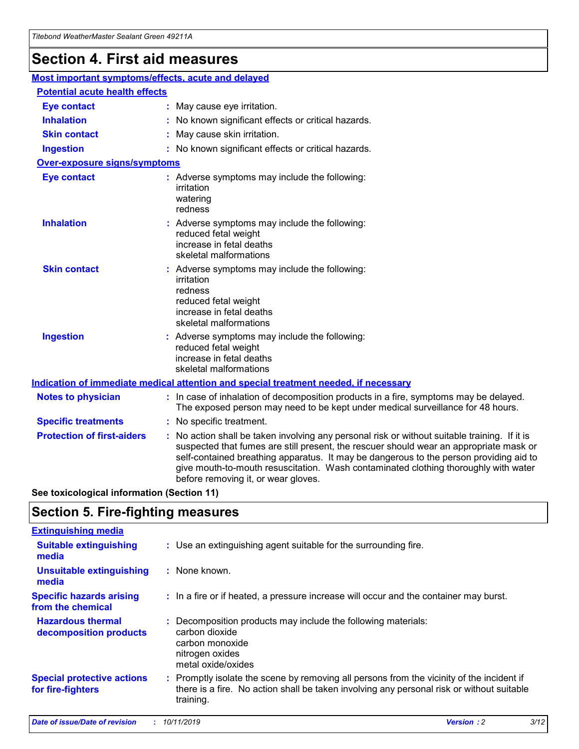## **Section 4. First aid measures**

| Most important symptoms/effects, acute and delayed |  |                                                                                                                                                                                                                                                                                                                                                                                                                 |
|----------------------------------------------------|--|-----------------------------------------------------------------------------------------------------------------------------------------------------------------------------------------------------------------------------------------------------------------------------------------------------------------------------------------------------------------------------------------------------------------|
| <b>Potential acute health effects</b>              |  |                                                                                                                                                                                                                                                                                                                                                                                                                 |
| <b>Eye contact</b>                                 |  | : May cause eye irritation.                                                                                                                                                                                                                                                                                                                                                                                     |
| <b>Inhalation</b>                                  |  | : No known significant effects or critical hazards.                                                                                                                                                                                                                                                                                                                                                             |
| <b>Skin contact</b>                                |  | : May cause skin irritation.                                                                                                                                                                                                                                                                                                                                                                                    |
| <b>Ingestion</b>                                   |  | : No known significant effects or critical hazards.                                                                                                                                                                                                                                                                                                                                                             |
| <b>Over-exposure signs/symptoms</b>                |  |                                                                                                                                                                                                                                                                                                                                                                                                                 |
| <b>Eye contact</b>                                 |  | : Adverse symptoms may include the following:<br>irritation<br>watering<br>redness                                                                                                                                                                                                                                                                                                                              |
| <b>Inhalation</b>                                  |  | : Adverse symptoms may include the following:<br>reduced fetal weight<br>increase in fetal deaths<br>skeletal malformations                                                                                                                                                                                                                                                                                     |
| <b>Skin contact</b>                                |  | : Adverse symptoms may include the following:<br>irritation<br>redness<br>reduced fetal weight<br>increase in fetal deaths<br>skeletal malformations                                                                                                                                                                                                                                                            |
| <b>Ingestion</b>                                   |  | : Adverse symptoms may include the following:<br>reduced fetal weight<br>increase in fetal deaths<br>skeletal malformations                                                                                                                                                                                                                                                                                     |
|                                                    |  | <b>Indication of immediate medical attention and special treatment needed, if necessary</b>                                                                                                                                                                                                                                                                                                                     |
| <b>Notes to physician</b>                          |  | : In case of inhalation of decomposition products in a fire, symptoms may be delayed.<br>The exposed person may need to be kept under medical surveillance for 48 hours.                                                                                                                                                                                                                                        |
| <b>Specific treatments</b>                         |  | : No specific treatment.                                                                                                                                                                                                                                                                                                                                                                                        |
| <b>Protection of first-aiders</b>                  |  | : No action shall be taken involving any personal risk or without suitable training. If it is<br>suspected that fumes are still present, the rescuer should wear an appropriate mask or<br>self-contained breathing apparatus. It may be dangerous to the person providing aid to<br>give mouth-to-mouth resuscitation. Wash contaminated clothing thoroughly with water<br>before removing it, or wear gloves. |

**See toxicological information (Section 11)**

### **Section 5. Fire-fighting measures**

| <b>Extinguishing media</b>                             |                                                                                                                                                                                                     |
|--------------------------------------------------------|-----------------------------------------------------------------------------------------------------------------------------------------------------------------------------------------------------|
| <b>Suitable extinguishing</b><br>media                 | : Use an extinguishing agent suitable for the surrounding fire.                                                                                                                                     |
| <b>Unsuitable extinguishing</b><br>media               | $:$ None known.                                                                                                                                                                                     |
| <b>Specific hazards arising</b><br>from the chemical   | : In a fire or if heated, a pressure increase will occur and the container may burst.                                                                                                               |
| <b>Hazardous thermal</b><br>decomposition products     | : Decomposition products may include the following materials:<br>carbon dioxide<br>carbon monoxide<br>nitrogen oxides<br>metal oxide/oxides                                                         |
| <b>Special protective actions</b><br>for fire-fighters | : Promptly isolate the scene by removing all persons from the vicinity of the incident if<br>there is a fire. No action shall be taken involving any personal risk or without suitable<br>training. |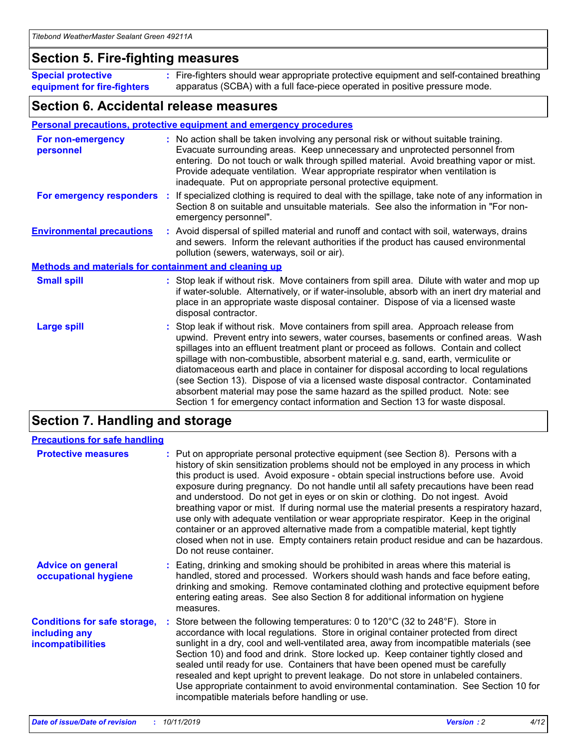### **Section 5. Fire-fighting measures**

**Special protective equipment for fire-fighters** Fire-fighters should wear appropriate protective equipment and self-contained breathing **:** apparatus (SCBA) with a full face-piece operated in positive pressure mode.

### **Section 6. Accidental release measures**

#### **Personal precautions, protective equipment and emergency procedures**

| For non-emergency<br>personnel                               | : No action shall be taken involving any personal risk or without suitable training.<br>Evacuate surrounding areas. Keep unnecessary and unprotected personnel from<br>entering. Do not touch or walk through spilled material. Avoid breathing vapor or mist.<br>Provide adequate ventilation. Wear appropriate respirator when ventilation is<br>inadequate. Put on appropriate personal protective equipment.                                                                                                                                                                                                                                                                                             |
|--------------------------------------------------------------|--------------------------------------------------------------------------------------------------------------------------------------------------------------------------------------------------------------------------------------------------------------------------------------------------------------------------------------------------------------------------------------------------------------------------------------------------------------------------------------------------------------------------------------------------------------------------------------------------------------------------------------------------------------------------------------------------------------|
| For emergency responders                                     | : If specialized clothing is required to deal with the spillage, take note of any information in<br>Section 8 on suitable and unsuitable materials. See also the information in "For non-<br>emergency personnel".                                                                                                                                                                                                                                                                                                                                                                                                                                                                                           |
| <b>Environmental precautions</b>                             | : Avoid dispersal of spilled material and runoff and contact with soil, waterways, drains<br>and sewers. Inform the relevant authorities if the product has caused environmental<br>pollution (sewers, waterways, soil or air).                                                                                                                                                                                                                                                                                                                                                                                                                                                                              |
| <b>Methods and materials for containment and cleaning up</b> |                                                                                                                                                                                                                                                                                                                                                                                                                                                                                                                                                                                                                                                                                                              |
| <b>Small spill</b>                                           | : Stop leak if without risk. Move containers from spill area. Dilute with water and mop up<br>if water-soluble. Alternatively, or if water-insoluble, absorb with an inert dry material and<br>place in an appropriate waste disposal container. Dispose of via a licensed waste<br>disposal contractor.                                                                                                                                                                                                                                                                                                                                                                                                     |
| <b>Large spill</b>                                           | : Stop leak if without risk. Move containers from spill area. Approach release from<br>upwind. Prevent entry into sewers, water courses, basements or confined areas. Wash<br>spillages into an effluent treatment plant or proceed as follows. Contain and collect<br>spillage with non-combustible, absorbent material e.g. sand, earth, vermiculite or<br>diatomaceous earth and place in container for disposal according to local regulations<br>(see Section 13). Dispose of via a licensed waste disposal contractor. Contaminated<br>absorbent material may pose the same hazard as the spilled product. Note: see<br>Section 1 for emergency contact information and Section 13 for waste disposal. |

### **Section 7. Handling and storage**

| <b>Precautions for safe handling</b>                                             |                                                                                                                                                                                                                                                                                                                                                                                                                                                                                                                                                                                                                                                                                                                                                                                                                                                  |
|----------------------------------------------------------------------------------|--------------------------------------------------------------------------------------------------------------------------------------------------------------------------------------------------------------------------------------------------------------------------------------------------------------------------------------------------------------------------------------------------------------------------------------------------------------------------------------------------------------------------------------------------------------------------------------------------------------------------------------------------------------------------------------------------------------------------------------------------------------------------------------------------------------------------------------------------|
| <b>Protective measures</b>                                                       | : Put on appropriate personal protective equipment (see Section 8). Persons with a<br>history of skin sensitization problems should not be employed in any process in which<br>this product is used. Avoid exposure - obtain special instructions before use. Avoid<br>exposure during pregnancy. Do not handle until all safety precautions have been read<br>and understood. Do not get in eyes or on skin or clothing. Do not ingest. Avoid<br>breathing vapor or mist. If during normal use the material presents a respiratory hazard,<br>use only with adequate ventilation or wear appropriate respirator. Keep in the original<br>container or an approved alternative made from a compatible material, kept tightly<br>closed when not in use. Empty containers retain product residue and can be hazardous.<br>Do not reuse container. |
| <b>Advice on general</b><br>occupational hygiene                                 | : Eating, drinking and smoking should be prohibited in areas where this material is<br>handled, stored and processed. Workers should wash hands and face before eating,<br>drinking and smoking. Remove contaminated clothing and protective equipment before<br>entering eating areas. See also Section 8 for additional information on hygiene<br>measures.                                                                                                                                                                                                                                                                                                                                                                                                                                                                                    |
| <b>Conditions for safe storage,</b><br>including any<br><b>incompatibilities</b> | Store between the following temperatures: 0 to $120^{\circ}$ C (32 to $248^{\circ}$ F). Store in<br>accordance with local regulations. Store in original container protected from direct<br>sunlight in a dry, cool and well-ventilated area, away from incompatible materials (see<br>Section 10) and food and drink. Store locked up. Keep container tightly closed and<br>sealed until ready for use. Containers that have been opened must be carefully<br>resealed and kept upright to prevent leakage. Do not store in unlabeled containers.<br>Use appropriate containment to avoid environmental contamination. See Section 10 for<br>incompatible materials before handling or use.                                                                                                                                                     |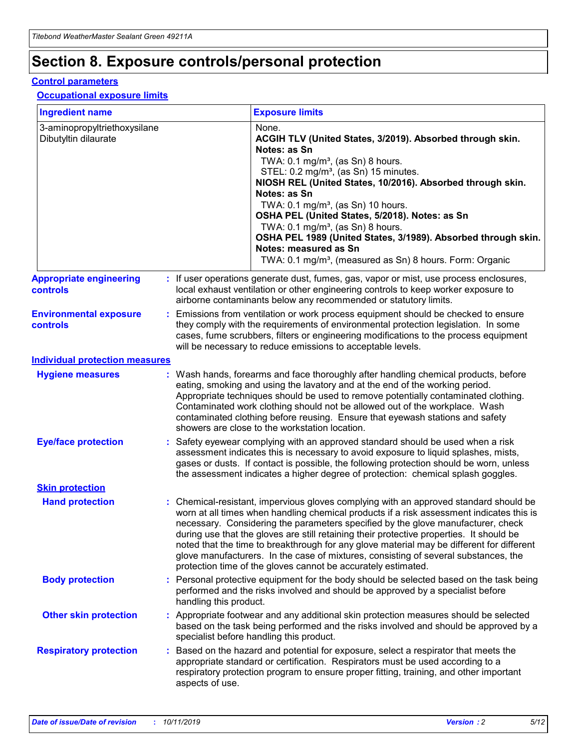## **Section 8. Exposure controls/personal protection**

#### **Control parameters**

#### **Occupational exposure limits**

| <b>Ingredient name</b>                               |    |                                          | <b>Exposure limits</b>                                                                                                                                                                                                                                                                                                                                                                                                                                                                                                                                                                                                 |
|------------------------------------------------------|----|------------------------------------------|------------------------------------------------------------------------------------------------------------------------------------------------------------------------------------------------------------------------------------------------------------------------------------------------------------------------------------------------------------------------------------------------------------------------------------------------------------------------------------------------------------------------------------------------------------------------------------------------------------------------|
| 3-aminopropyltriethoxysilane<br>Dibutyltin dilaurate |    |                                          | None.<br>ACGIH TLV (United States, 3/2019). Absorbed through skin.<br>Notes: as Sn<br>TWA: 0.1 mg/m <sup>3</sup> , (as Sn) 8 hours.<br>STEL: 0.2 mg/m <sup>3</sup> , (as Sn) 15 minutes.<br>NIOSH REL (United States, 10/2016). Absorbed through skin.<br>Notes: as Sn<br>TWA: 0.1 mg/m <sup>3</sup> , (as Sn) 10 hours.<br>OSHA PEL (United States, 5/2018). Notes: as Sn<br>TWA: $0.1 \text{ mg/m}^3$ , (as Sn) 8 hours.<br>OSHA PEL 1989 (United States, 3/1989). Absorbed through skin.<br>Notes: measured as Sn<br>TWA: 0.1 mg/m <sup>3</sup> , (measured as Sn) 8 hours. Form: Organic                           |
| <b>Appropriate engineering</b><br>controls           |    |                                          | : If user operations generate dust, fumes, gas, vapor or mist, use process enclosures,<br>local exhaust ventilation or other engineering controls to keep worker exposure to<br>airborne contaminants below any recommended or statutory limits.                                                                                                                                                                                                                                                                                                                                                                       |
| <b>Environmental exposure</b><br><b>controls</b>     |    |                                          | Emissions from ventilation or work process equipment should be checked to ensure<br>they comply with the requirements of environmental protection legislation. In some<br>cases, fume scrubbers, filters or engineering modifications to the process equipment<br>will be necessary to reduce emissions to acceptable levels.                                                                                                                                                                                                                                                                                          |
| <b>Individual protection measures</b>                |    |                                          |                                                                                                                                                                                                                                                                                                                                                                                                                                                                                                                                                                                                                        |
| <b>Hygiene measures</b>                              |    |                                          | : Wash hands, forearms and face thoroughly after handling chemical products, before<br>eating, smoking and using the lavatory and at the end of the working period.<br>Appropriate techniques should be used to remove potentially contaminated clothing.<br>Contaminated work clothing should not be allowed out of the workplace. Wash<br>contaminated clothing before reusing. Ensure that eyewash stations and safety<br>showers are close to the workstation location.                                                                                                                                            |
| <b>Eye/face protection</b>                           |    |                                          | : Safety eyewear complying with an approved standard should be used when a risk<br>assessment indicates this is necessary to avoid exposure to liquid splashes, mists,<br>gases or dusts. If contact is possible, the following protection should be worn, unless<br>the assessment indicates a higher degree of protection: chemical splash goggles.                                                                                                                                                                                                                                                                  |
| <b>Skin protection</b>                               |    |                                          |                                                                                                                                                                                                                                                                                                                                                                                                                                                                                                                                                                                                                        |
| <b>Hand protection</b>                               |    |                                          | : Chemical-resistant, impervious gloves complying with an approved standard should be<br>worn at all times when handling chemical products if a risk assessment indicates this is<br>necessary. Considering the parameters specified by the glove manufacturer, check<br>during use that the gloves are still retaining their protective properties. It should be<br>noted that the time to breakthrough for any glove material may be different for different<br>glove manufacturers. In the case of mixtures, consisting of several substances, the<br>protection time of the gloves cannot be accurately estimated. |
| <b>Body protection</b>                               |    | handling this product.                   | Personal protective equipment for the body should be selected based on the task being<br>performed and the risks involved and should be approved by a specialist before                                                                                                                                                                                                                                                                                                                                                                                                                                                |
| <b>Other skin protection</b>                         |    | specialist before handling this product. | : Appropriate footwear and any additional skin protection measures should be selected<br>based on the task being performed and the risks involved and should be approved by a                                                                                                                                                                                                                                                                                                                                                                                                                                          |
| <b>Respiratory protection</b>                        | ÷. | aspects of use.                          | Based on the hazard and potential for exposure, select a respirator that meets the<br>appropriate standard or certification. Respirators must be used according to a<br>respiratory protection program to ensure proper fitting, training, and other important                                                                                                                                                                                                                                                                                                                                                         |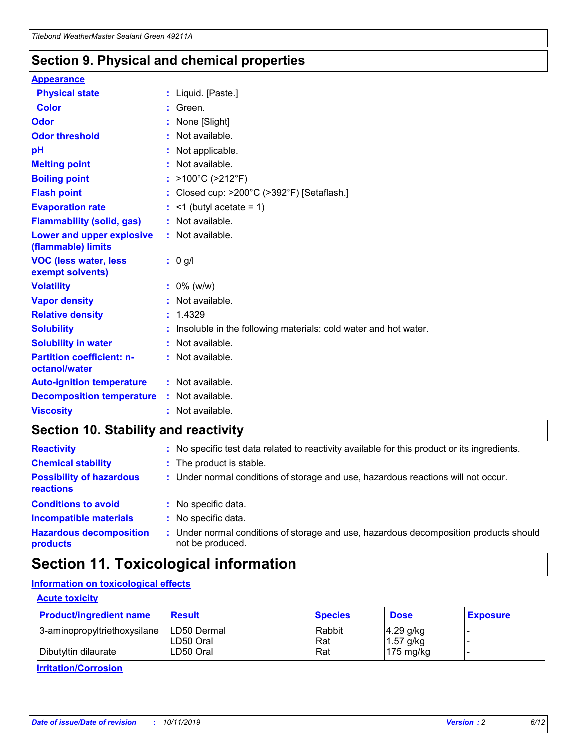### **Section 9. Physical and chemical properties**

#### **Appearance**

| <b>Physical state</b>                             | : Liquid. [Paste.]                                              |
|---------------------------------------------------|-----------------------------------------------------------------|
| Color                                             | Green.                                                          |
| Odor                                              | : None [Slight]                                                 |
| <b>Odor threshold</b>                             | $:$ Not available.                                              |
| рH                                                | : Not applicable.                                               |
| <b>Melting point</b>                              | : Not available.                                                |
| <b>Boiling point</b>                              | : >100°C (>212°F)                                               |
| <b>Flash point</b>                                | : Closed cup: $>200^{\circ}$ C ( $>392^{\circ}$ F) [Setaflash.] |
| <b>Evaporation rate</b>                           | $:$ <1 (butyl acetate = 1)                                      |
| <b>Flammability (solid, gas)</b>                  | : Not available.                                                |
| Lower and upper explosive<br>(flammable) limits   | : Not available.                                                |
| <b>VOC (less water, less</b>                      | $: 0$ g/l                                                       |
| exempt solvents)                                  |                                                                 |
| <b>Volatility</b>                                 | $: 0\%$ (w/w)                                                   |
| <b>Vapor density</b>                              | : Not available.                                                |
| <b>Relative density</b>                           | : 1.4329                                                        |
| <b>Solubility</b>                                 | Insoluble in the following materials: cold water and hot water. |
| <b>Solubility in water</b>                        | : Not available.                                                |
| <b>Partition coefficient: n-</b><br>octanol/water | $:$ Not available.                                              |
| <b>Auto-ignition temperature</b>                  | : Not available.                                                |
| <b>Decomposition temperature</b>                  | : Not available.                                                |

### **Section 10. Stability and reactivity**

| <b>Reactivity</b>                            |    | : No specific test data related to reactivity available for this product or its ingredients.            |
|----------------------------------------------|----|---------------------------------------------------------------------------------------------------------|
| <b>Chemical stability</b>                    |    | : The product is stable.                                                                                |
| <b>Possibility of hazardous</b><br>reactions |    | : Under normal conditions of storage and use, hazardous reactions will not occur.                       |
| <b>Conditions to avoid</b>                   |    | : No specific data.                                                                                     |
| <b>Incompatible materials</b>                | ٠. | No specific data.                                                                                       |
| <b>Hazardous decomposition</b><br>products   | ÷. | Under normal conditions of storage and use, hazardous decomposition products should<br>not be produced. |

### **Section 11. Toxicological information**

### **Information on toxicological effects**

#### **Acute toxicity**

| <b>Product/ingredient name</b> | <b>Result</b>           | <b>Species</b> | <b>Dose</b>                | <b>Exposure</b> |
|--------------------------------|-------------------------|----------------|----------------------------|-----------------|
| 3-aminopropyltriethoxysilane   | <b>ILD50 Dermal</b>     | Rabbit         | 4.29 g/kg                  |                 |
| Dibutyltin dilaurate           | ILD50 Oral<br>LD50 Oral | Rat<br>Rat     | $1.57$ g/kg<br>175 $mg/kg$ |                 |
|                                |                         |                |                            |                 |

**Irritation/Corrosion**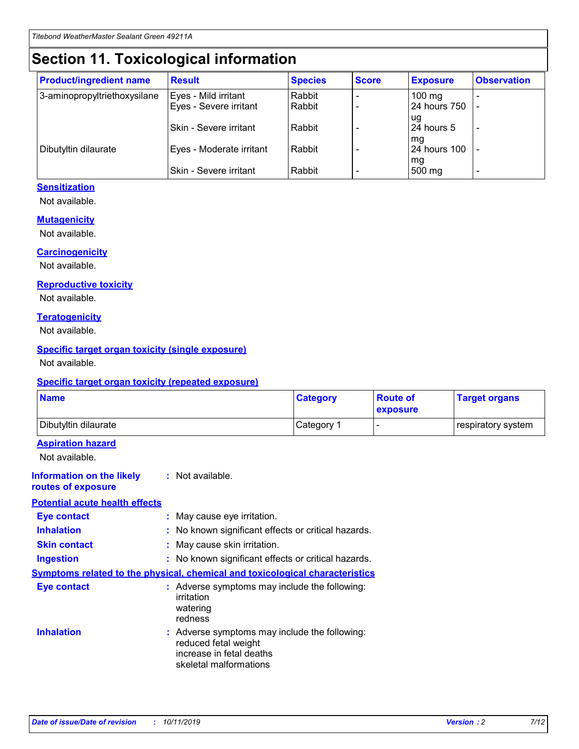## **Section 11. Toxicological information**

| <b>Product/ingredient name</b> | <b>Result</b>            | <b>Species</b> | <b>Score</b> | <b>Exposure</b>           | <b>Observation</b> |
|--------------------------------|--------------------------|----------------|--------------|---------------------------|--------------------|
| 3-aminopropyltriethoxysilane   | Eyes - Mild irritant     | Rabbit         |              | $100$ mg                  |                    |
|                                | Eyes - Severe irritant   | Rabbit         |              | 24 hours 750              |                    |
|                                |                          |                |              | ug                        |                    |
|                                | Skin - Severe irritant   | Rabbit         |              | 24 hours 5                | -                  |
| Dibutyltin dilaurate           | Eyes - Moderate irritant | Rabbit         |              | mq<br><b>24 hours 100</b> |                    |
|                                |                          |                |              | mg                        |                    |
|                                | Skin - Severe irritant   | Rabbit         |              | 500 mg                    |                    |

#### **Sensitization**

Not available.

#### **Mutagenicity**

Not available.

#### **Carcinogenicity**

Not available.

#### **Reproductive toxicity**

Not available.

#### **Teratogenicity**

Not available.

#### **Specific target organ toxicity (single exposure)**

Not available.

#### **Specific target organ toxicity (repeated exposure)**

| <b>Name</b>                                                                  |                                                                            | <b>Category</b>                                     | <b>Route of</b><br>exposure | <b>Target organs</b> |
|------------------------------------------------------------------------------|----------------------------------------------------------------------------|-----------------------------------------------------|-----------------------------|----------------------|
| Dibutyltin dilaurate                                                         |                                                                            | Category 1                                          | -                           | respiratory system   |
| <b>Aspiration hazard</b><br>Not available.                                   |                                                                            |                                                     |                             |                      |
| <b>Information on the likely</b><br>routes of exposure                       | : Not available.                                                           |                                                     |                             |                      |
| <b>Potential acute health effects</b>                                        |                                                                            |                                                     |                             |                      |
| <b>Eye contact</b>                                                           | : May cause eye irritation.                                                |                                                     |                             |                      |
| <b>Inhalation</b>                                                            |                                                                            | : No known significant effects or critical hazards. |                             |                      |
| <b>Skin contact</b>                                                          | : May cause skin irritation.                                               |                                                     |                             |                      |
| <b>Ingestion</b>                                                             |                                                                            | : No known significant effects or critical hazards. |                             |                      |
| Symptoms related to the physical, chemical and toxicological characteristics |                                                                            |                                                     |                             |                      |
| <b>Eye contact</b>                                                           | irritation<br>watering<br>redness                                          | : Adverse symptoms may include the following:       |                             |                      |
| <b>Inhalation</b>                                                            | reduced fetal weight<br>increase in fetal deaths<br>skeletal malformations | : Adverse symptoms may include the following:       |                             |                      |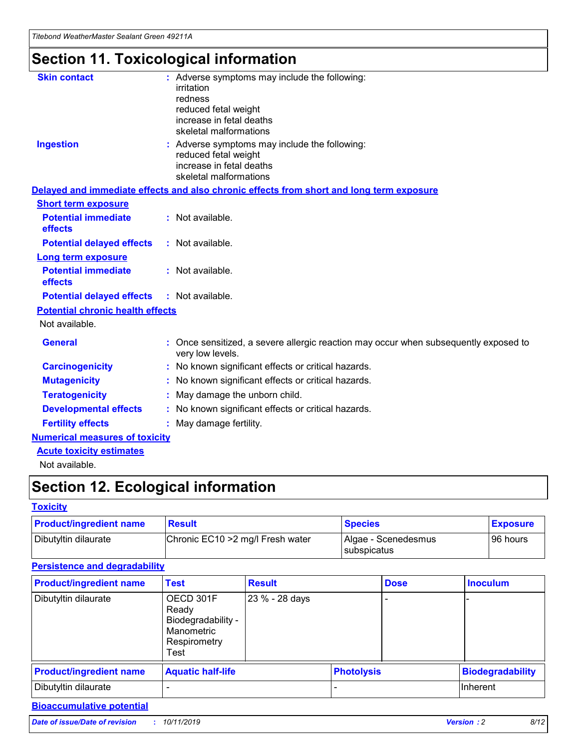*Titebond WeatherMaster Sealant Green 49211A*

## **Section 11. Toxicological information**

| <b>Skin contact</b>                     | : Adverse symptoms may include the following:<br>irritation<br>redness<br>reduced fetal weight<br>increase in fetal deaths<br>skeletal malformations |  |
|-----------------------------------------|------------------------------------------------------------------------------------------------------------------------------------------------------|--|
| <b>Ingestion</b>                        | : Adverse symptoms may include the following:<br>reduced fetal weight<br>increase in fetal deaths<br>skeletal malformations                          |  |
|                                         | Delayed and immediate effects and also chronic effects from short and long term exposure                                                             |  |
| <b>Short term exposure</b>              |                                                                                                                                                      |  |
| <b>Potential immediate</b><br>effects   | : Not available.                                                                                                                                     |  |
| <b>Potential delayed effects</b>        | : Not available.                                                                                                                                     |  |
| <b>Long term exposure</b>               |                                                                                                                                                      |  |
| <b>Potential immediate</b><br>effects   | : Not available.                                                                                                                                     |  |
| <b>Potential delayed effects</b>        | : Not available.                                                                                                                                     |  |
| <b>Potential chronic health effects</b> |                                                                                                                                                      |  |
| Not available.                          |                                                                                                                                                      |  |
| <b>General</b>                          | : Once sensitized, a severe allergic reaction may occur when subsequently exposed to<br>very low levels.                                             |  |
| <b>Carcinogenicity</b>                  | : No known significant effects or critical hazards.                                                                                                  |  |
| <b>Mutagenicity</b>                     | : No known significant effects or critical hazards.                                                                                                  |  |
| <b>Teratogenicity</b>                   | May damage the unborn child.                                                                                                                         |  |
| <b>Developmental effects</b>            | : No known significant effects or critical hazards.                                                                                                  |  |
| <b>Fertility effects</b>                | May damage fertility.                                                                                                                                |  |
| <b>Numerical measures of toxicity</b>   |                                                                                                                                                      |  |
| <b>Acute toxicity estimates</b>         |                                                                                                                                                      |  |
| الملحلة والمستحقق فالمرابط              |                                                                                                                                                      |  |

Not available.

## **Section 12. Ecological information**

#### **Toxicity**

| <b>Product/ingredient name</b> | <b>Result</b>                     | <b>Species</b>                       | <b>Exposure</b> |
|--------------------------------|-----------------------------------|--------------------------------------|-----------------|
| Dibutyltin dilaurate           | Chronic EC10 > 2 mg/l Fresh water | Algae - Scenedesmus<br>I subspicatus | l 96 hours      |

### **Persistence and degradability**

| <b>Product/ingredient name</b> | <b>Test</b>                                                                    | <b>Result</b>  |                   | <b>Dose</b> | <b>Inoculum</b>         |
|--------------------------------|--------------------------------------------------------------------------------|----------------|-------------------|-------------|-------------------------|
| Dibutyltin dilaurate           | OECD 301F<br>Ready<br>Biodegradability -<br>Manometric<br>Respirometry<br>Test | 23 % - 28 days |                   |             |                         |
| <b>Product/ingredient name</b> | <b>Aquatic half-life</b>                                                       |                | <b>Photolysis</b> |             | <b>Biodegradability</b> |
| Dibutyltin dilaurate           |                                                                                |                |                   |             | Inherent                |

### **Bioaccumulative potential**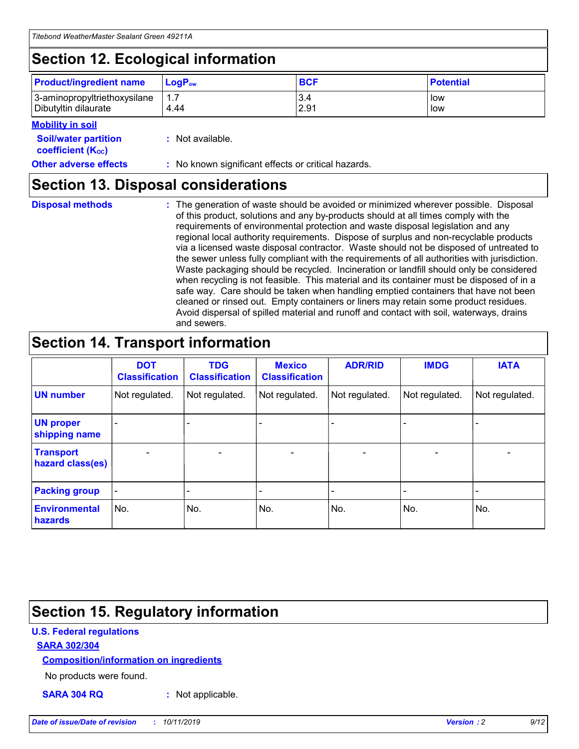## **Section 12. Ecological information**

| <b>Product/ingredient name</b> | $LoaPow$ | <b>BCF</b> | <b>Potential</b> |
|--------------------------------|----------|------------|------------------|
| 3-aminopropyltriethoxysilane   | 1.7      | 3.4        | low              |
| Dibutyltin dilaurate           | 4.44     | 2.91       | low              |

#### **Mobility in soil**

| <b>Soil/water partition</b><br>coefficient (K <sub>oc</sub> ) | : Not available.                                    |
|---------------------------------------------------------------|-----------------------------------------------------|
| <b>Other adverse effects</b>                                  | : No known significant effects or critical hazards. |

### **Section 13. Disposal considerations**

**Disposal methods :**

The generation of waste should be avoided or minimized wherever possible. Disposal of this product, solutions and any by-products should at all times comply with the requirements of environmental protection and waste disposal legislation and any regional local authority requirements. Dispose of surplus and non-recyclable products via a licensed waste disposal contractor. Waste should not be disposed of untreated to the sewer unless fully compliant with the requirements of all authorities with jurisdiction. Waste packaging should be recycled. Incineration or landfill should only be considered when recycling is not feasible. This material and its container must be disposed of in a safe way. Care should be taken when handling emptied containers that have not been cleaned or rinsed out. Empty containers or liners may retain some product residues. Avoid dispersal of spilled material and runoff and contact with soil, waterways, drains and sewers.

## **Section 14. Transport information**

|                                      | <b>DOT</b><br><b>Classification</b> | <b>TDG</b><br><b>Classification</b> | <b>Mexico</b><br><b>Classification</b> | <b>ADR/RID</b> | <b>IMDG</b>              | <b>IATA</b>              |
|--------------------------------------|-------------------------------------|-------------------------------------|----------------------------------------|----------------|--------------------------|--------------------------|
| <b>UN number</b>                     | Not regulated.                      | Not regulated.                      | Not regulated.                         | Not regulated. | Not regulated.           | Not regulated.           |
| <b>UN proper</b><br>shipping name    | $\blacksquare$                      |                                     |                                        |                |                          |                          |
| <b>Transport</b><br>hazard class(es) | $\blacksquare$                      | $\overline{\phantom{a}}$            | $\blacksquare$                         | $\blacksquare$ | $\overline{\phantom{a}}$ | $\overline{\phantom{0}}$ |
| <b>Packing group</b>                 | $\overline{\phantom{a}}$            | $\overline{\phantom{0}}$            | $\overline{\phantom{a}}$               | -              | $\overline{\phantom{0}}$ | $\overline{\phantom{a}}$ |
| <b>Environmental</b><br>hazards      | No.                                 | No.                                 | No.                                    | No.            | No.                      | No.                      |

## **Section 15. Regulatory information**

#### **U.S. Federal regulations**

#### **SARA 302/304**

#### **Composition/information on ingredients**

No products were found.

**SARA 304 RQ :** Not applicable.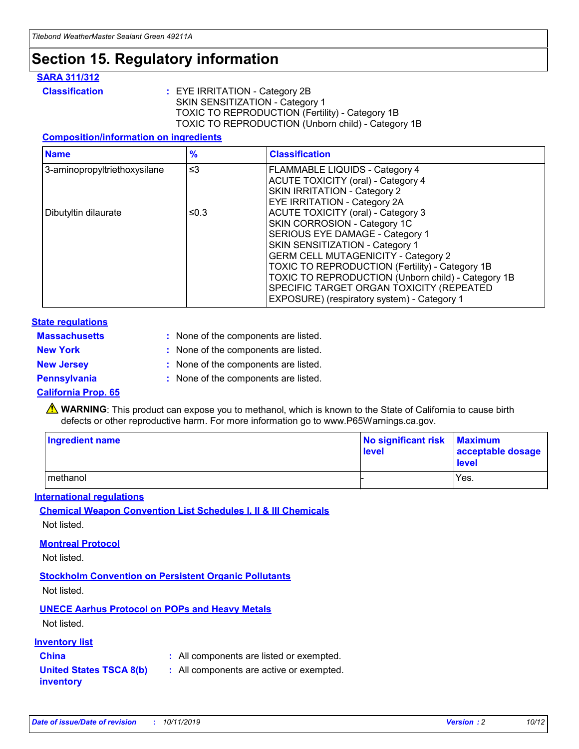### **Section 15. Regulatory information**

#### **SARA 311/312**

**Classification :** EYE IRRITATION - Category 2B SKIN SENSITIZATION - Category 1 TOXIC TO REPRODUCTION (Fertility) - Category 1B TOXIC TO REPRODUCTION (Unborn child) - Category 1B

#### **Composition/information on ingredients**

| <b>Name</b>                  | $\frac{9}{6}$ | <b>Classification</b>                                                                                            |
|------------------------------|---------------|------------------------------------------------------------------------------------------------------------------|
| 3-aminopropyltriethoxysilane | $\leq$ 3      | <b>FLAMMABLE LIQUIDS - Category 4</b><br><b>ACUTE TOXICITY (oral) - Category 4</b>                               |
|                              |               | SKIN IRRITATION - Category 2<br>EYE IRRITATION - Category 2A                                                     |
| Dibutyltin dilaurate         | ≤0.3          | ACUTE TOXICITY (oral) - Category 3<br>SKIN CORROSION - Category 1C                                               |
|                              |               | SERIOUS EYE DAMAGE - Category 1<br>SKIN SENSITIZATION - Category 1<br><b>GERM CELL MUTAGENICITY - Category 2</b> |
|                              |               | TOXIC TO REPRODUCTION (Fertility) - Category 1B<br>TOXIC TO REPRODUCTION (Unborn child) - Category 1B            |
|                              |               | SPECIFIC TARGET ORGAN TOXICITY (REPEATED<br>EXPOSURE) (respiratory system) - Category 1                          |

#### **State regulations**

| <b>Massachusetts</b> | : None of the components are listed. |
|----------------------|--------------------------------------|
| <b>New York</b>      | : None of the components are listed. |
| <b>New Jersey</b>    | : None of the components are listed. |
| <b>Pennsylvania</b>  | : None of the components are listed. |

#### **California Prop. 65**

**A** WARNING: This product can expose you to methanol, which is known to the State of California to cause birth defects or other reproductive harm. For more information go to www.P65Warnings.ca.gov.

| <b>Ingredient name</b> | No significant risk Maximum<br>level | acceptable dosage<br>level |
|------------------------|--------------------------------------|----------------------------|
| methanol               |                                      | Yes.                       |

#### **International regulations**

**Chemical Weapon Convention List Schedules I, II & III Chemicals** Not listed.

#### **Montreal Protocol**

Not listed.

#### **Stockholm Convention on Persistent Organic Pollutants**

Not listed.

### **UNECE Aarhus Protocol on POPs and Heavy Metals**

Not listed.

#### **Inventory list**

### **China :** All components are listed or exempted.

**United States TSCA 8(b) inventory :** All components are active or exempted.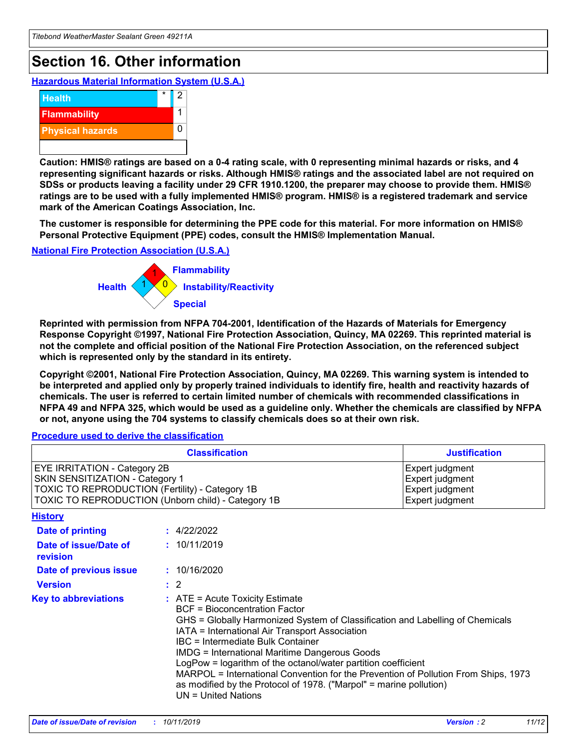## **Section 16. Other information**

**Hazardous Material Information System (U.S.A.)**



**Caution: HMIS® ratings are based on a 0-4 rating scale, with 0 representing minimal hazards or risks, and 4 representing significant hazards or risks. Although HMIS® ratings and the associated label are not required on SDSs or products leaving a facility under 29 CFR 1910.1200, the preparer may choose to provide them. HMIS® ratings are to be used with a fully implemented HMIS® program. HMIS® is a registered trademark and service mark of the American Coatings Association, Inc.**

**The customer is responsible for determining the PPE code for this material. For more information on HMIS® Personal Protective Equipment (PPE) codes, consult the HMIS® Implementation Manual.**

#### **National Fire Protection Association (U.S.A.)**



**Reprinted with permission from NFPA 704-2001, Identification of the Hazards of Materials for Emergency Response Copyright ©1997, National Fire Protection Association, Quincy, MA 02269. This reprinted material is not the complete and official position of the National Fire Protection Association, on the referenced subject which is represented only by the standard in its entirety.**

**Copyright ©2001, National Fire Protection Association, Quincy, MA 02269. This warning system is intended to be interpreted and applied only by properly trained individuals to identify fire, health and reactivity hazards of chemicals. The user is referred to certain limited number of chemicals with recommended classifications in NFPA 49 and NFPA 325, which would be used as a guideline only. Whether the chemicals are classified by NFPA or not, anyone using the 704 systems to classify chemicals does so at their own risk.**

#### **Procedure used to derive the classification**

| <b>Classification</b>                                                                                                                                                    |                                                                                                                                                                                                                                                                                                                                                                                                                                                                                                                                                               | <b>Justification</b>                                                     |
|--------------------------------------------------------------------------------------------------------------------------------------------------------------------------|---------------------------------------------------------------------------------------------------------------------------------------------------------------------------------------------------------------------------------------------------------------------------------------------------------------------------------------------------------------------------------------------------------------------------------------------------------------------------------------------------------------------------------------------------------------|--------------------------------------------------------------------------|
| EYE IRRITATION - Category 2B<br>SKIN SENSITIZATION - Category 1<br>TOXIC TO REPRODUCTION (Fertility) - Category 1B<br>TOXIC TO REPRODUCTION (Unborn child) - Category 1B |                                                                                                                                                                                                                                                                                                                                                                                                                                                                                                                                                               | Expert judgment<br>Expert judgment<br>Expert judgment<br>Expert judgment |
| <b>History</b>                                                                                                                                                           |                                                                                                                                                                                                                                                                                                                                                                                                                                                                                                                                                               |                                                                          |
| <b>Date of printing</b>                                                                                                                                                  | : 4/22/2022                                                                                                                                                                                                                                                                                                                                                                                                                                                                                                                                                   |                                                                          |
| Date of issue/Date of<br>revision                                                                                                                                        | : 10/11/2019                                                                                                                                                                                                                                                                                                                                                                                                                                                                                                                                                  |                                                                          |
| Date of previous issue                                                                                                                                                   | : 10/16/2020                                                                                                                                                                                                                                                                                                                                                                                                                                                                                                                                                  |                                                                          |
| <b>Version</b>                                                                                                                                                           | $\therefore$ 2                                                                                                                                                                                                                                                                                                                                                                                                                                                                                                                                                |                                                                          |
| <b>Key to abbreviations</b>                                                                                                                                              | $:$ ATE = Acute Toxicity Estimate<br><b>BCF</b> = Bioconcentration Factor<br>GHS = Globally Harmonized System of Classification and Labelling of Chemicals<br>IATA = International Air Transport Association<br>IBC = Intermediate Bulk Container<br><b>IMDG = International Maritime Dangerous Goods</b><br>LogPow = logarithm of the octanol/water partition coefficient<br>MARPOL = International Convention for the Prevention of Pollution From Ships, 1973<br>as modified by the Protocol of 1978. ("Marpol" = marine pollution)<br>UN = United Nations |                                                                          |